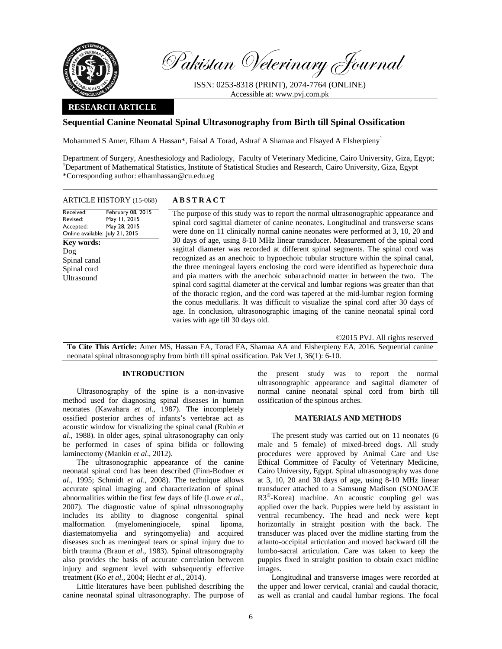

Pakistan Veterinary Journal

ISSN: 0253-8318 (PRINT), 2074-7764 (ONLINE) Accessible at: www.pvj.com.pk

# **RESEARCH ARTICLE**

# **Sequential Canine Neonatal Spinal Ultrasonography from Birth till Spinal Ossification**

Mohammed S Amer, Elham A Hassan\*, Faisal A Torad, Ashraf A Shamaa and Elsayed A Elsherpieny<sup>1</sup>

Department of Surgery, Anesthesiology and Radiology, Faculty of Veterinary Medicine, Cairo University, Giza, Egypt; <sup>1</sup>Department of Mathematical Statistics, Institute of Statistical Studies and Research, Cairo University, Giza, Egypt \*Corresponding author: elhamhassan@cu.edu.eg

| <b>ARTICLE HISTORY (15-068)</b>                                                                                                                                                                               | <b>ABSTRACT</b>                                                                                                                                                                                                                                                                                                                                                                                                                                                                                                                                                                                                                                                                                                                                                                                                                                                                                                                                                                                                                                              |
|---------------------------------------------------------------------------------------------------------------------------------------------------------------------------------------------------------------|--------------------------------------------------------------------------------------------------------------------------------------------------------------------------------------------------------------------------------------------------------------------------------------------------------------------------------------------------------------------------------------------------------------------------------------------------------------------------------------------------------------------------------------------------------------------------------------------------------------------------------------------------------------------------------------------------------------------------------------------------------------------------------------------------------------------------------------------------------------------------------------------------------------------------------------------------------------------------------------------------------------------------------------------------------------|
| February 08, 2015<br>Received:<br>May 11, 2015<br>Revised:<br>May 28, 2015<br>Accepted:<br>Online available: July 21, 2015<br><b>Key words:</b><br>$\log$<br>Spinal canal<br>Spinal cord<br><b>Ultrasound</b> | The purpose of this study was to report the normal ultrasonographic appearance and<br>spinal cord sagittal diameter of canine neonates. Longitudinal and transverse scans<br>were done on 11 clinically normal canine neonates were performed at 3, 10, 20 and<br>30 days of age, using 8-10 MHz linear transducer. Measurement of the spinal cord<br>sagittal diameter was recorded at different spinal segments. The spinal cord was<br>recognized as an anechoic to hypoechoic tubular structure within the spinal canal,<br>the three meningeal layers enclosing the cord were identified as hyperechoic dura<br>and pia matters with the anechoic subarachnoid matter in between the two. The<br>spinal cord sagittal diameter at the cervical and lumbar regions was greater than that<br>of the thoracic region, and the cord was tapered at the mid-lumbar region forming<br>the conus medullaris. It was difficult to visualize the spinal cord after 30 days of<br>age. In conclusion, ultrasonographic imaging of the canine neonatal spinal cord |
|                                                                                                                                                                                                               | varies with age till 30 days old.                                                                                                                                                                                                                                                                                                                                                                                                                                                                                                                                                                                                                                                                                                                                                                                                                                                                                                                                                                                                                            |

©2015 PVJ. All rights reserved

**To Cite This Article:** Amer MS, Hassan EA, Torad FA, Shamaa AA and Elsherpieny EA, 2016. Sequential canine neonatal spinal ultrasonography from birth till spinal ossification. Pak Vet J, 36(1): 6-10.

### **INTRODUCTION**

Ultrasonography of the spine is a non-invasive method used for diagnosing spinal diseases in human neonates (Kawahara *et al*., 1987). The incompletely ossified posterior arches of infants's vertebrae act as acoustic window for visualizing the spinal canal (Rubin *et al*., 1988). In older ages, spinal ultrasonography can only be performed in cases of spina bifida or following laminectomy (Mankin *et al*., 2012).

The ultrasonographic appearance of the canine neonatal spinal cord has been described (Finn-Bodner *et al*., 1995; Schmidt *et al*., 2008). The technique allows accurate spinal imaging and characterization of spinal abnormalities within the first few days of life (Lowe *et al*., 2007). The diagnostic value of spinal ultrasonography includes its ability to diagnose congenital spinal malformation (myelomeningiocele, spinal lipoma, diastematomyelia and syringomyelia) and acquired diseases such as meningeal tears or spinal injury due to birth trauma (Braun *et al*., 1983). Spinal ultrasonography also provides the basis of accurate correlation between injury and segment level with subsequently effective treatment (Ko *et al*., 2004; Hecht *et al*., 2014).

Little literatures have been published describing the canine neonatal spinal ultrasonography. The purpose of the present study was to report the normal ultrasonographic appearance and sagittal diameter of normal canine neonatal spinal cord from birth till ossification of the spinous arches.

### **MATERIALS AND METHODS**

The present study was carried out on 11 neonates (6 male and 5 female) of mixed-breed dogs. All study procedures were approved by Animal Care and Use Ethical Committee of Faculty of Veterinary Medicine, Cairo University, Egypt. Spinal ultrasonography was done at 3, 10, 20 and 30 days of age, using 8-10 MHz linear transducer attached to a Samsung Madison (SONOACE R3®-Korea) machine. An acoustic coupling gel was applied over the back. Puppies were held by assistant in ventral recumbency. The head and neck were kept horizontally in straight position with the back. The transducer was placed over the midline starting from the atlanto-occipital articulation and moved backward till the lumbo-sacral articulation. Care was taken to keep the puppies fixed in straight position to obtain exact midline images.

Longitudinal and transverse images were recorded at the upper and lower cervical, cranial and caudal thoracic, as well as cranial and caudal lumbar regions. The focal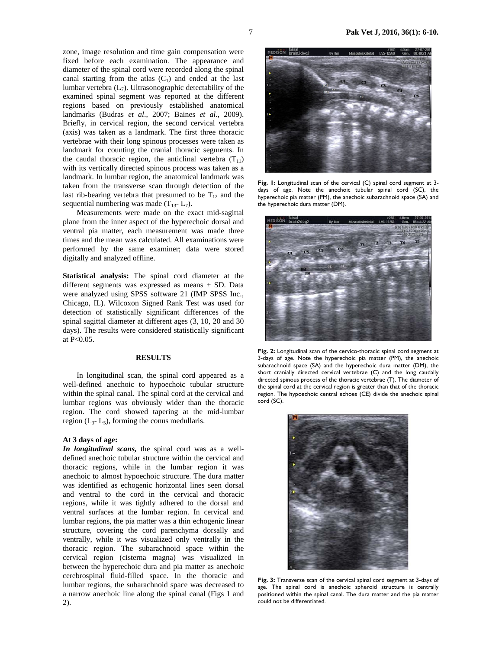zone, image resolution and time gain compensation were fixed before each examination. The appearance and diameter of the spinal cord were recorded along the spinal canal starting from the atlas  $(C_1)$  and ended at the last lumbar vertebra  $(L_7)$ . Ultrasonographic detectability of the examined spinal segment was reported at the different regions based on previously established anatomical landmarks (Budras *et al*., 2007; Baines *et al*., 2009). Briefly, in cervical region, the second cervical vertebra (axis) was taken as a landmark. The first three thoracic vertebrae with their long spinous processes were taken as landmark for counting the cranial thoracic segments. In the caudal thoracic region, the anticlinal vertebra  $(T_{11})$ with its vertically directed spinous process was taken as a landmark. In lumbar region, the anatomical landmark was taken from the transverse scan through detection of the last rib-bearing vertebra that presumed to be  $T_{12}$  and the sequential numbering was made  $(T_{13} - L_7)$ .

Measurements were made on the exact mid-sagittal plane from the inner aspect of the hyperechoic dorsal and ventral pia matter, each measurement was made three times and the mean was calculated. All examinations were performed by the same examiner; data were stored digitally and analyzed offline.

**Statistical analysis:** The spinal cord diameter at the different segments was expressed as means  $\pm$  SD. Data were analyzed using SPSS software 21 (IMP SPSS Inc., Chicago, IL). Wilcoxon Signed Rank Test was used for detection of statistically significant differences of the spinal sagittal diameter at different ages (3, 10, 20 and 30 days). The results were considered statistically significant at P<0.05.

## **RESULTS**

In longitudinal scan, the spinal cord appeared as a well-defined anechoic to hypoechoic tubular structure within the spinal canal. The spinal cord at the cervical and lumbar regions was obviously wider than the thoracic region. The cord showed tapering at the mid-lumbar region  $(L_3-L_5)$ , forming the conus medullaris.

## **At 3 days of age:**

*In longitudinal scans,* the spinal cord was as a welldefined anechoic tubular structure within the cervical and thoracic regions, while in the lumbar region it was anechoic to almost hypoechoic structure. The dura matter was identified as echogenic horizontal lines seen dorsal and ventral to the cord in the cervical and thoracic regions, while it was tightly adhered to the dorsal and ventral surfaces at the lumbar region. In cervical and lumbar regions, the pia matter was a thin echogenic linear structure, covering the cord parenchyma dorsally and ventrally, while it was visualized only ventrally in the thoracic region. The subarachnoid space within the cervical region (cisterna magna) was visualized in between the hyperechoic dura and pia matter as anechoic cerebrospinal fluid-filled space. In the thoracic and lumbar regions, the subarachnoid space was decreased to a narrow anechoic line along the spinal canal (Figs 1 and 2).



**Fig. 1:** Longitudinal scan of the cervical (C) spinal cord segment at 3 days of age. Note the anechoic tubular spinal cord (SC), the hyperechoic pia matter (PM), the anechoic subarachnoid space (SA) and the hyperechoic dura matter (DM).



**Fig. 2:** Longitudinal scan of the cervico-thoracic spinal cord segment at 3-days of age. Note the hyperechoic pia matter (PM), the anechoic subarachnoid space (SA) and the hyperechoic dura matter (DM), the short cranially directed cervical vertebrae (C) and the long caudally directed spinous process of the thoracic vertebrae (T). The diameter of the spinal cord at the cervical region is greater than that of the thoracic region. The hypoechoic central echoes (CE) divide the anechoic spinal cord (SC).



**Fig. 3:** Transverse scan of the cervical spinal cord segment at 3-days of age. The spinal cord is anechoic spheroid structure is centrally positioned within the spinal canal. The dura matter and the pia matter could not be differentiated.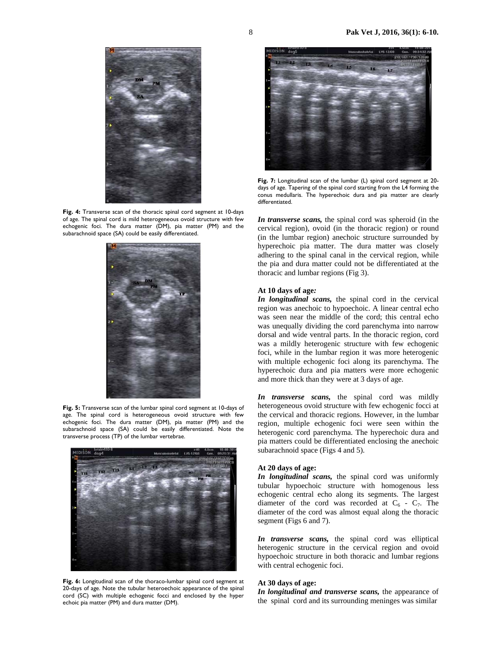

Fig. 4: Transverse scan of the thoracic spinal cord segment at 10-days of age. The spinal cord is mild heterogeneous ovoid structure with few echogenic foci. The dura matter (DM), pia matter (PM) and the subarachnoid space (SA) could be easily differentiated.



**Fig. 5:** Transverse scan of the lumbar spinal cord segment at 10-days of age. The spinal cord is heterogeneous ovoid structure with few echogenic foci. The dura matter (DM), pia matter (PM) and the subarachnoid space (SA) could be easily differentiated. Note the transverse process (TP) of the lumbar vertebrae.



**Fig. 6:** Longitudinal scan of the thoraco-lumbar spinal cord segment at 20-days of age. Note the tubular heteroechoic appearance of the spinal cord (SC) with multiple echogenic focci and enclosed by the hyper echoic pia matter (PM) and dura matter (DM).



**Fig. 7:** Longitudinal scan of the lumbar (L) spinal cord segment at 20 days of age. Tapering of the spinal cord starting from the L4 forming the conus medullaris. The hyperechoic dura and pia matter are clearly differentiated.

*In transverse scans,* the spinal cord was spheroid (in the cervical region), ovoid (in the thoracic region) or round (in the lumbar region) anechoic structure surrounded by hyperechoic pia matter. The dura matter was closely adhering to the spinal canal in the cervical region, while the pia and dura matter could not be differentiated at the thoracic and lumbar regions (Fig 3).

#### **At 10 days of age***:*

*In longitudinal scans,* the spinal cord in the cervical region was anechoic to hypoechoic. A linear central echo was seen near the middle of the cord; this central echo was unequally dividing the cord parenchyma into narrow dorsal and wide ventral parts. In the thoracic region, cord was a mildly heterogenic structure with few echogenic foci, while in the lumbar region it was more heterogenic with multiple echogenic foci along its parenchyma. The hyperechoic dura and pia matters were more echogenic and more thick than they were at 3 days of age.

*In transverse scans,* the spinal cord was mildly heterogeneous ovoid structure with few echogenic focci at the cervical and thoracic regions. However, in the lumbar region, multiple echogenic foci were seen within the heterogenic cord parenchyma. The hyperechoic dura and pia matters could be differentiated enclosing the anechoic subarachnoid space (Figs 4 and 5).

### **At 20 days of age:**

*In longitudinal scans,* the spinal cord was uniformly tubular hypoechoic structure with homogenous less echogenic central echo along its segments. The largest diameter of the cord was recorded at  $C_6$  -  $C_7$ . The diameter of the cord was almost equal along the thoracic segment (Figs 6 and 7).

*In transverse scans,* the spinal cord was elliptical heterogenic structure in the cervical region and ovoid hypoechoic structure in both thoracic and lumbar regions with central echogenic foci.

### **At 30 days of age:**

*In longitudinal and transverse scans,* the appearance of the spinal cord and its surrounding meninges was similar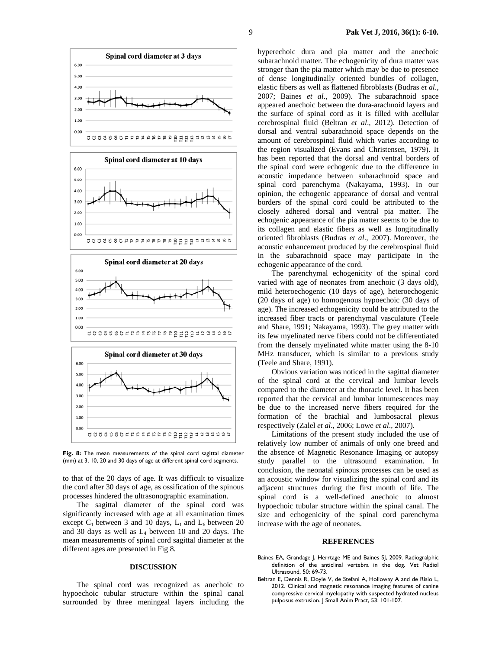





Fig. 8: The mean measurements of the spinal cord sagittal diameter (mm) at 3, 10, 20 and 30 days of age at different spinal cord segments.

to that of the 20 days of age. It was difficult to visualize the cord after 30 days of age, as ossification of the spinous processes hindered the ultrasonographic examination.

The sagittal diameter of the spinal cord was significantly increased with age at all examination times except  $C_1$  between 3 and 10 days,  $L_1$  and  $L_6$  between 20 and 30 days as well as L4 between 10 and 20 days. The mean measurements of spinal cord sagittal diameter at the different ages are presented in Fig 8.

# **DISCUSSION**

The spinal cord was recognized as anechoic to hypoechoic tubular structure within the spinal canal surrounded by three meningeal layers including the hyperechoic dura and pia matter and the anechoic subarachnoid matter. The echogenicity of dura matter was stronger than the pia matter which may be due to presence of dense longitudinally oriented bundles of collagen, elastic fibers as well as flattened fibroblasts (Budras *et al*., 2007; Baines *et al*., 2009). The subarachnoid space appeared anechoic between the dura-arachnoid layers and the surface of spinal cord as it is filled with acellular cerebrospinal fluid (Beltran *et al*., 2012). Detection of dorsal and ventral subarachnoid space depends on the amount of cerebrospinal fluid which varies according to the region visualized (Evans and Christensen, 1979). It has been reported that the dorsal and ventral borders of the spinal cord were echogenic due to the difference in acoustic impedance between subarachnoid space and spinal cord parenchyma (Nakayama, 1993). In our opinion, the echogenic appearance of dorsal and ventral borders of the spinal cord could be attributed to the closely adhered dorsal and ventral pia matter. The echogenic appearance of the pia matter seems to be due to its collagen and elastic fibers as well as longitudinally oriented fibroblasts (Budras *et al*., 2007). Moreover, the acoustic enhancement produced by the cerebrospinal fluid in the subarachnoid space may participate in the echogenic appearance of the cord.

The parenchymal echogenicity of the spinal cord varied with age of neonates from anechoic (3 days old), mild heteroechogenic (10 days of age), heteroechogenic (20 days of age) to homogenous hypoechoic (30 days of age). The increased echogenicity could be attributed to the increased fiber tracts or parenchymal vasculature (Teele and Share, 1991; Nakayama, 1993). The grey matter with its few myelinated nerve fibers could not be differentiated from the densely myelinated white matter using the 8-10 MHz transducer, which is similar to a previous study (Teele and Share, 1991).

Obvious variation was noticed in the sagittal diameter of the spinal cord at the cervical and lumbar levels compared to the diameter at the thoracic level. It has been reported that the cervical and lumbar intumescences may be due to the increased nerve fibers required for the formation of the brachial and lumbosacral plexus respectively (Zalel *et al*., 2006; Lowe *et al*., 2007).

Limitations of the present study included the use of relatively low number of animals of only one breed and the absence of Magnetic Resonance Imaging or autopsy study parallel to the ultrasound examination. In conclusion, the neonatal spinous processes can be used as an acoustic window for visualizing the spinal cord and its adjacent structures during the first month of life. The spinal cord is a well-defined anechoic to almost hypoechoic tubular structure within the spinal canal. The size and echogenicity of the spinal cord parenchyma increase with the age of neonates.

#### **REFERENCES**

- Baines EA, Grandage J, Herrtage ME and Baines SJ, 2009. Radiogralphic definition of the anticlinal vertebra in the dog. Vet Radiol Ultrasound, 50: 69-73.
- Beltran E, Dennis R, Doyle V, de Stefani A, Holloway A and de Risio L, 2012. Clinical and magnetic resonance imaging features of canine compressive cervical myelopathy with suspected hydrated nucleus pulposus extrusion. J Small Anim Pract, 53: 101-107.